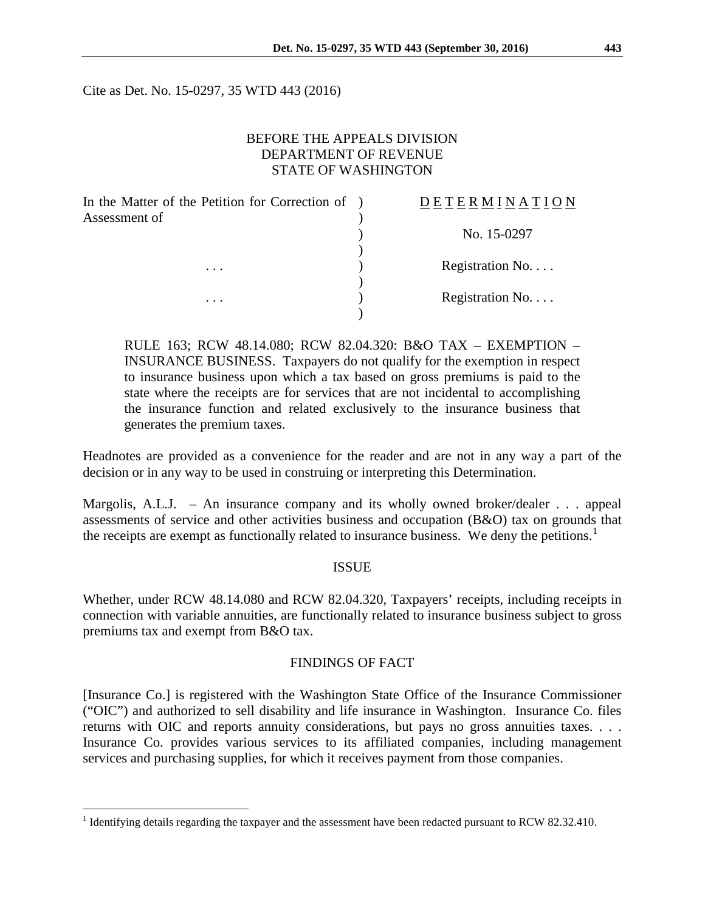Cite as Det. No. 15-0297, 35 WTD 443 (2016)

# BEFORE THE APPEALS DIVISION DEPARTMENT OF REVENUE STATE OF WASHINGTON

| In the Matter of the Petition for Correction of<br>Assessment of | DETERMINATION    |
|------------------------------------------------------------------|------------------|
|                                                                  | No. 15-0297      |
| $\cdots$                                                         | Registration No. |
| .                                                                | Registration No. |

RULE 163; RCW 48.14.080; RCW 82.04.320: B&O TAX – EXEMPTION – INSURANCE BUSINESS. Taxpayers do not qualify for the exemption in respect to insurance business upon which a tax based on gross premiums is paid to the state where the receipts are for services that are not incidental to accomplishing the insurance function and related exclusively to the insurance business that generates the premium taxes.

Headnotes are provided as a convenience for the reader and are not in any way a part of the decision or in any way to be used in construing or interpreting this Determination.

Margolis, A.L.J. – An insurance company and its wholly owned broker/dealer . . . appeal assessments of service and other activities business and occupation (B&O) tax on grounds that the receipts are exempt as functionally related to insurance business. We deny the petitions.<sup>[1](#page-0-0)</sup>

#### **ISSUE**

Whether, under RCW 48.14.080 and RCW 82.04.320, Taxpayers' receipts, including receipts in connection with variable annuities, are functionally related to insurance business subject to gross premiums tax and exempt from B&O tax.

### FINDINGS OF FACT

[Insurance Co.] is registered with the Washington State Office of the Insurance Commissioner ("OIC") and authorized to sell disability and life insurance in Washington. Insurance Co. files returns with OIC and reports annuity considerations, but pays no gross annuities taxes. . . . Insurance Co. provides various services to its affiliated companies, including management services and purchasing supplies, for which it receives payment from those companies.

<span id="page-0-0"></span><sup>&</sup>lt;sup>1</sup> Identifying details regarding the taxpayer and the assessment have been redacted pursuant to RCW 82.32.410.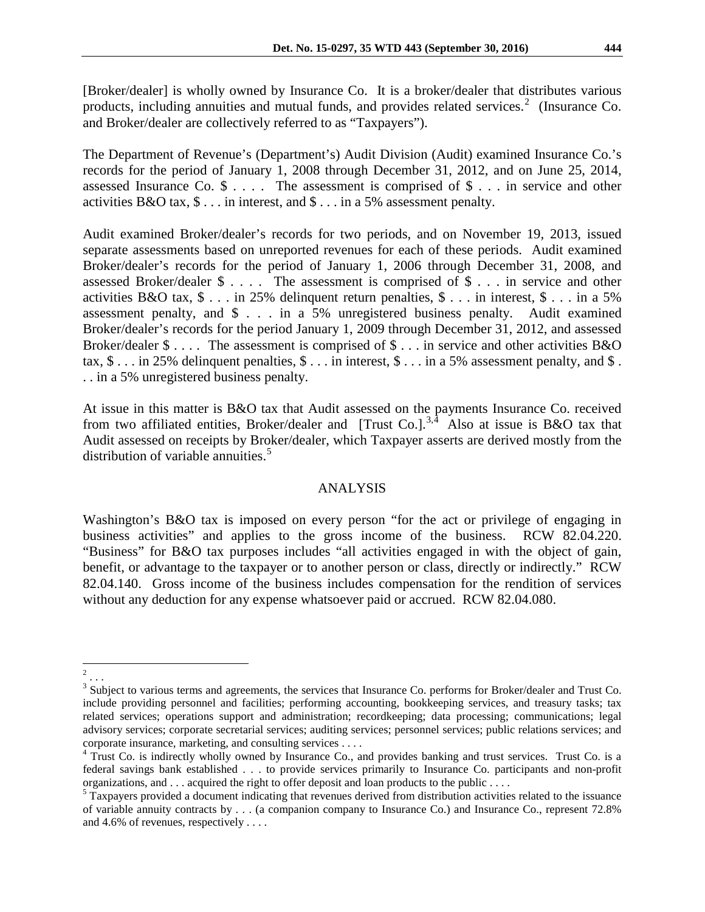[Broker/dealer] is wholly owned by Insurance Co. It is a broker/dealer that distributes various products, including annuities and mutual funds, and provides related services. $2$  (Insurance Co. and Broker/dealer are collectively referred to as "Taxpayers").

The Department of Revenue's (Department's) Audit Division (Audit) examined Insurance Co.'s records for the period of January 1, 2008 through December 31, 2012, and on June 25, 2014, assessed Insurance Co. \$ . . . . The assessment is comprised of \$ . . . in service and other activities B&O tax, \$ . . . in interest, and \$ . . . in a 5% assessment penalty.

Audit examined Broker/dealer's records for two periods, and on November 19, 2013, issued separate assessments based on unreported revenues for each of these periods. Audit examined Broker/dealer's records for the period of January 1, 2006 through December 31, 2008, and assessed Broker/dealer \$ . . . . The assessment is comprised of \$ . . . in service and other activities B&O tax, \$ . . . in 25% delinquent return penalties, \$ . . . in interest, \$ . . . in a 5% assessment penalty, and \$ . . . in a 5% unregistered business penalty. Audit examined Broker/dealer's records for the period January 1, 2009 through December 31, 2012, and assessed Broker/dealer  $\$\ldots$ . The assessment is comprised of  $\$\ldots$  in service and other activities B&O tax,  $\$\dots$  in 25% delinquent penalties,  $\$\dots$  in interest,  $\$\dots$  in a 5% assessment penalty, and  $\$\dots$ . . in a 5% unregistered business penalty.

At issue in this matter is B&O tax that Audit assessed on the payments Insurance Co. received from two affiliated entities, Broker/dealer and [Trust Co.].<sup>[3](#page-1-1),[4](#page-1-2)</sup> Also at issue is B&O tax that Audit assessed on receipts by Broker/dealer, which Taxpayer asserts are derived mostly from the distribution of variable annuities.<sup>[5](#page-1-3)</sup>

# ANALYSIS

Washington's B&O tax is imposed on every person "for the act or privilege of engaging in business activities" and applies to the gross income of the business. RCW 82.04.220. "Business" for B&O tax purposes includes "all activities engaged in with the object of gain, benefit, or advantage to the taxpayer or to another person or class, directly or indirectly." RCW 82.04.140. Gross income of the business includes compensation for the rendition of services without any deduction for any expense whatsoever paid or accrued. RCW 82.04.080.

<span id="page-1-0"></span> <sup>2</sup> . . .

<span id="page-1-1"></span><sup>&</sup>lt;sup>3</sup> Subject to various terms and agreements, the services that Insurance Co. performs for Broker/dealer and Trust Co. include providing personnel and facilities; performing accounting, bookkeeping services, and treasury tasks; tax related services; operations support and administration; recordkeeping; data processing; communications; legal advisory services; corporate secretarial services; auditing services; personnel services; public relations services; and corporate insurance, marketing, and consulting services . . . .<br><sup>4</sup> Trust Co. is indirectly wholly owned by Insurance Co., and provides banking and trust services. Trust Co. is a

<span id="page-1-2"></span>federal savings bank established . . . to provide services primarily to Insurance Co. participants and non-profit organizations, and . . . acquired the right to offer deposit and loan products to the public . . . .

<span id="page-1-3"></span><sup>&</sup>lt;sup>5</sup> Taxpayers provided a document indicating that revenues derived from distribution activities related to the issuance of variable annuity contracts by . . . (a companion company to Insurance Co.) and Insurance Co., represent 72.8% and 4.6% of revenues, respectively . . . .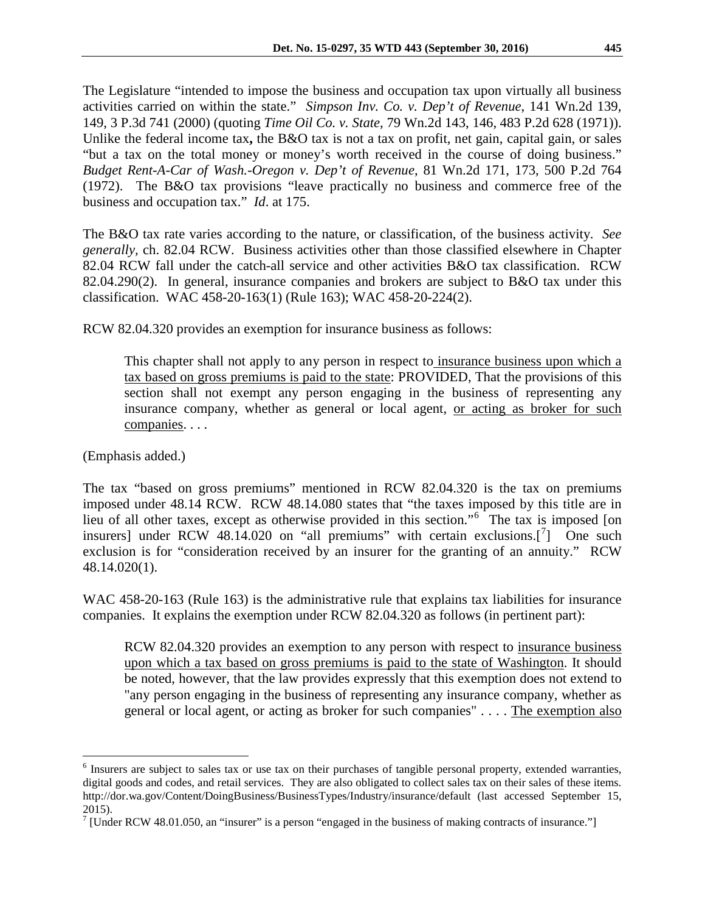The Legislature "intended to impose the business and occupation tax upon virtually all business activities carried on within the state." *Simpson Inv. Co. v. Dep't of Revenue*, 141 Wn.2d 139, 149, 3 P.3d 741 (2000) (quoting *Time Oil Co. v. State*, 79 Wn.2d 143, 146, 483 P.2d 628 (1971)). Unlike the federal income tax, the B&O tax is not a tax on profit, net gain, capital gain, or sales "but a tax on the total money or money's worth received in the course of doing business." *Budget Rent-A-Car of Wash.-Oregon v. Dep't of Revenue*, 81 Wn.2d 171, 173, 500 P.2d 764 (1972). The B&O tax provisions "leave practically no business and commerce free of the business and occupation tax." *Id*. at 175.

The B&O tax rate varies according to the nature, or classification, of the business activity. *See generally,* ch. 82.04 RCW. Business activities other than those classified elsewhere in Chapter 82.04 RCW fall under the catch-all service and other activities B&O tax classification. RCW 82.04.290(2). In general, insurance companies and brokers are subject to B&O tax under this classification. WAC 458-20-163(1) (Rule 163); WAC 458-20-224(2).

RCW 82.04.320 provides an exemption for insurance business as follows:

This chapter shall not apply to any person in respect to insurance business upon which a tax based on gross premiums is paid to the state: PROVIDED, That the provisions of this section shall not exempt any person engaging in the business of representing any insurance company, whether as general or local agent, or acting as broker for such companies. . . .

(Emphasis added.)

The tax "based on gross premiums" mentioned in RCW 82.04.320 is the tax on premiums imposed under 48.14 RCW. RCW 48.14.080 states that "the taxes imposed by this title are in lieu of all other taxes, except as otherwise provided in this section."[6](#page-2-0) The tax is imposed [on insurers] under RCW 48.14.020 on "all premiums" with certain exclusions. $\begin{bmatrix} 7 \end{bmatrix}$  $\begin{bmatrix} 7 \end{bmatrix}$  $\begin{bmatrix} 7 \end{bmatrix}$  One such exclusion is for "consideration received by an insurer for the granting of an annuity." RCW 48.14.020(1).

WAC 458-20-163 (Rule 163) is the administrative rule that explains tax liabilities for insurance companies. It explains the exemption under RCW 82.04.320 as follows (in pertinent part):

RCW [82.04.320](http://app.leg.wa.gov/RCW/default.aspx?cite=82.04.320) provides an exemption to any person with respect to insurance business upon which a tax based on gross premiums is paid to the state of Washington. It should be noted, however, that the law provides expressly that this exemption does not extend to "any person engaging in the business of representing any insurance company, whether as general or local agent, or acting as broker for such companies" . . . . The exemption also

<span id="page-2-0"></span><sup>&</sup>lt;sup>6</sup> Insurers are subject to sales tax or use tax on their purchases of tangible personal property, extended warranties, digital goods and codes, and retail services. They are also obligated to collect sales tax on their sales of these items. http://dor.wa.gov/Content/DoingBusiness/BusinessTypes/Industry/insurance/default (last accessed September 15, 2015).

<span id="page-2-1"></span><sup>&</sup>lt;sup>7</sup> [Under RCW 48.01.050, an "insurer" is a person "engaged in the business of making contracts of insurance."]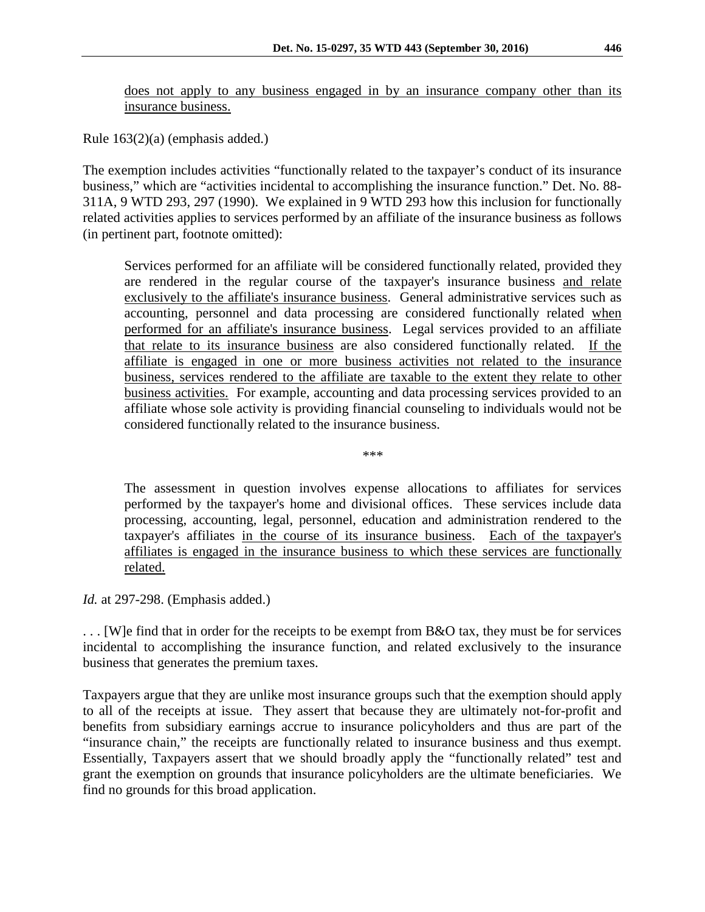does not apply to any business engaged in by an insurance company other than its insurance business.

Rule 163(2)(a) (emphasis added.)

The exemption includes activities "functionally related to the taxpayer's conduct of its insurance business," which are "activities incidental to accomplishing the insurance function." Det. No. 88- 311A, 9 WTD 293, 297 (1990). We explained in 9 WTD 293 how this inclusion for functionally related activities applies to services performed by an affiliate of the insurance business as follows (in pertinent part, footnote omitted):

Services performed for an affiliate will be considered functionally related, provided they are rendered in the regular course of the taxpayer's insurance business and relate exclusively to the affiliate's insurance business. General administrative services such as accounting, personnel and data processing are considered functionally related when performed for an affiliate's insurance business. Legal services provided to an affiliate that relate to its insurance business are also considered functionally related. If the affiliate is engaged in one or more business activities not related to the insurance business, services rendered to the affiliate are taxable to the extent they relate to other business activities. For example, accounting and data processing services provided to an affiliate whose sole activity is providing financial counseling to individuals would not be considered functionally related to the insurance business.

\*\*\*

The assessment in question involves expense allocations to affiliates for services performed by the taxpayer's home and divisional offices. These services include data processing, accounting, legal, personnel, education and administration rendered to the taxpayer's affiliates in the course of its insurance business. Each of the taxpayer's affiliates is engaged in the insurance business to which these services are functionally related.

*Id.* at 297-298. (Emphasis added.)

... We find that in order for the receipts to be exempt from B&O tax, they must be for services incidental to accomplishing the insurance function, and related exclusively to the insurance business that generates the premium taxes.

Taxpayers argue that they are unlike most insurance groups such that the exemption should apply to all of the receipts at issue. They assert that because they are ultimately not-for-profit and benefits from subsidiary earnings accrue to insurance policyholders and thus are part of the "insurance chain," the receipts are functionally related to insurance business and thus exempt. Essentially, Taxpayers assert that we should broadly apply the "functionally related" test and grant the exemption on grounds that insurance policyholders are the ultimate beneficiaries. We find no grounds for this broad application.